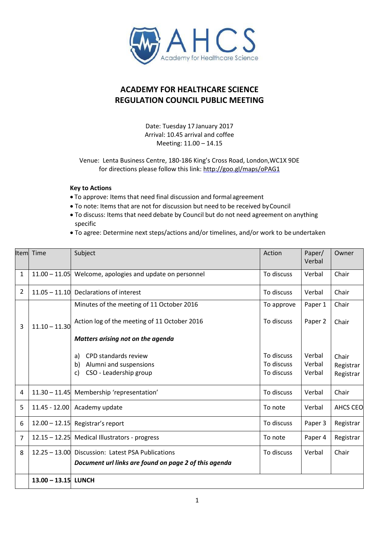

## **ACADEMY FOR HEALTHCARE SCIENCE REGULATION COUNCIL PUBLIC MEETING**

Date: Tuesday 17 January 2017 Arrival: 10.45 arrival and coffee Meeting: 11.00 – 14.15

Venue: Lenta Business Centre, 180-186 King's Cross Road, London,WC1X 9DE for directions please follow this link:<http://goo.gl/maps/oPAG1>

## **Key to Actions**

- To approve: Items that need final discussion and formalagreement
- To note: Items that are not for discussion but need to be received byCouncil
- To discuss: Items that need debate by Council but do not need agreement on anything specific
- To agree: Determine next steps/actions and/or timelines, and/or work to be undertaken

| llteml       | Time                | Subject                                                                                    | Action                                 | Paper/<br>Verbal           | Owner                           |
|--------------|---------------------|--------------------------------------------------------------------------------------------|----------------------------------------|----------------------------|---------------------------------|
| $\mathbf{1}$ |                     | $11.00 - 11.05$ Welcome, apologies and update on personnel                                 | To discuss                             | Verbal                     | Chair                           |
| 2            |                     | 11.05 - 11.10 Declarations of interest                                                     | To discuss                             | Verbal                     | Chair                           |
|              |                     | Minutes of the meeting of 11 October 2016                                                  | To approve                             | Paper 1                    | Chair                           |
| 3            | $11.10 - 11.30$     | Action log of the meeting of 11 October 2016                                               | To discuss                             | Paper 2                    | Chair                           |
|              |                     | Matters arising not on the agenda                                                          |                                        |                            |                                 |
|              |                     | CPD standards review<br>a)<br>Alumni and suspensions<br>b)<br>CSO - Leadership group<br>c) | To discuss<br>To discuss<br>To discuss | Verbal<br>Verbal<br>Verbal | Chair<br>Registrar<br>Registrar |
| 4            |                     | 11.30 - 11.45 Membership 'representation'                                                  | To discuss                             | Verbal                     | Chair                           |
| 5            | $11.45 - 12.00$     | Academy update                                                                             | To note                                | Verbal                     | <b>AHCS CEO</b>                 |
| 6            |                     | $12.00 - 12.15$ Registrar's report                                                         | To discuss                             | Paper 3                    | Registrar                       |
| 7            |                     | 12.15 - 12.25 Medical Illustrators - progress                                              | To note                                | Paper 4                    | Registrar                       |
| 8            |                     | 12.25 - 13.00 Discussion: Latest PSA Publications                                          | To discuss                             | Verbal                     | Chair                           |
|              |                     | Document url links are found on page 2 of this agenda                                      |                                        |                            |                                 |
|              | 13.00 - 13.15 LUNCH |                                                                                            |                                        |                            |                                 |